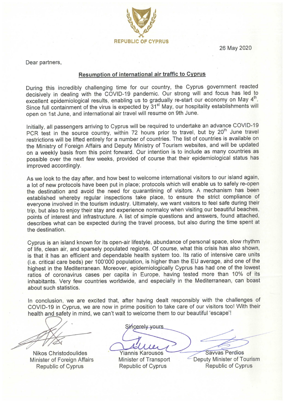26 May 2020



Dear partners,

#### Resumption of international air traffic to Cyprus

During this incredibly challenging time for our country, the Cyprus government reacted decisively in dealing with the COVID-19 pandemic. Our strong will and focus has led to excellent epidemiological results, enabling us to gradually re-start our economy on May 4<sup>th</sup>. Since full containment of the virus is expected by 31<sup>st</sup> May, our hospitality establishments will open on 1st June, and international air travel will resume on 9th June.

Initially, all passengers arriving to Cyprus will be required to undertake an advance COVID-19 PCR test in the source country, within 72 hours prior to travel, but by 20<sup>th</sup> June travel restrictions will be lifted entirely for a number of countries. The list of countries is available on the Ministry of Foreign Affairs and Deputy Ministry of Tourism websites, and will be updated on a weekly basis from this point forward. Our intention is to include as many countries as possible over the next few weeks, provided of course that their epidemiological status has improved accordingly.

As we look to the day after, and how best to welcome international visitors to our island again, a lot of new protocols have been put in place; protocols which will enable us to safely re-open the destination and avoid the need for quarantining of visitors. A mechanism has been established whereby regular inspections take place, to ensure the strict compliance of everyone involved in the tourism industry. Ultimately, we want visitors to feel safe during their trip, but also to enjoy their stay and experience normalcy when visiting our beautiful beaches, points of interest and infrastructure. A list of simple questions and answers, found attached, describes what can be expected during the travel process, but also during the time spent at the destination.

Cyprus is an island known for its open-air lifestyle, abundance of personal space, slow rhythm of life, clean air, and sparsely populated regions. Of course, what this crisis has also shown, is that it has an efficient and dependable health system too. Its ratio of intensive care units (i.e. critical care beds) per 100'000 population, is higher than the EU average, and one of the highest in the Mediterranean. Moreover, epidemiologically Cyprus has had one of the lowest ratios of coronavirus cases per capita in Europe, having tested more than 10% of its inhabitants. Very few countries worldwide, and especially in the Mediterranean, can boast about such statistics.

In conclusion, we are excited that, after having dealt responsibly with the challenges of COVID-19 in Cyprus, we are now in prime position to take care of our visitors too! With their health and safety in mind, we can't wait to welcome them to our beautiful 'escape'!

**Nikos Christodoulides** Minister of Foreign Affairs **Republic of Cyprus** 

Sincerely yours

**Yiannis Karousos Minister of Transport Republic of Cyprus** 

Savvas Perdios Deputy Minister of Tourism **Republic of Cyprus**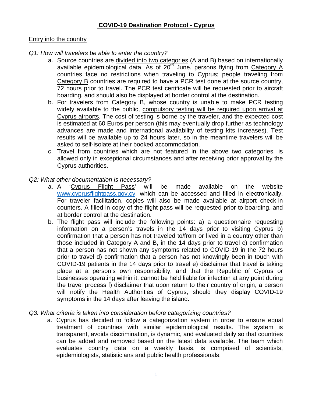## **COVID-19 Destination Protocol - Cyprus**

### Entry into the country

### *Q1: How will travelers be able to enter the country?*

- a. Source countries are divided into two categories (A and B) based on internationally available epidemiological data. As of  $20<sup>th</sup>$  June, persons flying from Category A countries face no restrictions when traveling to Cyprus; people traveling from Category B countries are required to have a PCR test done at the source country, 72 hours prior to travel. The PCR test certificate will be requested prior to aircraft boarding, and should also be displayed at border control at the destination.
- b. For travelers from Category B, whose country is unable to make PCR testing widely available to the public, compulsory testing will be required upon arrival at Cyprus airports. The cost of testing is borne by the traveler, and the expected cost is estimated at 60 Euros per person (this may eventually drop further as technology advances are made and international availability of testing kits increases). Test results will be available up to 24 hours later, so in the meantime travelers will be asked to self-isolate at their booked accommodation.
- c. Travel from countries which are not featured in the above two categories, is allowed only in exceptional circumstances and after receiving prior approval by the Cyprus authorities.

#### *Q2: What other documentation is necessary?*

- a. A 'Cyprus Flight Pass' will be made available on the website [www.cyprusflightpass.gov.cy,](http://www.cyprusflightpass.gov.cy/) which can be accessed and filled in electronically. For traveler facilitation, copies will also be made available at airport check-in counters. A filled-in copy of the flight pass will be requested prior to boarding, and at border control at the destination.
- b. The flight pass will include the following points: a) a questionnaire requesting information on a person's travels in the 14 days prior to visiting Cyprus b) confirmation that a person has not traveled to/from or lived in a country other than those included in Category A and B, in the 14 days prior to travel c) confirmation that a person has not shown any symptoms related to COVID-19 in the 72 hours prior to travel d) confirmation that a person has not knowingly been in touch with COVID-19 patients in the 14 days prior to travel e) disclaimer that travel is taking place at a person's own responsibility, and that the Republic of Cyprus or businesses operating within it, cannot be held liable for infection at any point during the travel process f) disclaimer that upon return to their country of origin, a person will notify the Health Authorities of Cyprus, should they display COVID-19 symptoms in the 14 days after leaving the island.

### *Q3: What criteria is taken into consideration before categorizing countries?*

a. Cyprus has decided to follow a categorization system in order to ensure equal treatment of countries with similar epidemiological results. The system is transparent, avoids discrimination, is dynamic, and evaluated daily so that countries can be added and removed based on the latest data available. The team which evaluates country data on a weekly basis, is comprised of scientists, epidemiologists, statisticians and public health professionals.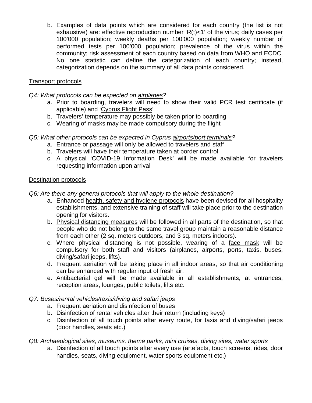b. Examples of data points which are considered for each country (the list is not exhaustive) are: effective reproduction number 'R(t)<1' of the virus; daily cases per 100'000 population; weekly deaths per 100'000 population; weekly number of performed tests per 100'000 population; prevalence of the virus within the community; risk assessment of each country based on data from WHO and ECDC. No one statistic can define the categorization of each country; instead, categorization depends on the summary of all data points considered.

# Transport protocols

*Q4: What protocols can be expected on airplanes?*

- a. Prior to boarding, travelers will need to show their valid PCR test certificate (if applicable) and 'Cyprus Flight Pass'
- b. Travelers' temperature may possibly be taken prior to boarding
- c. Wearing of masks may be made compulsory during the flight

# *Q5: What other protocols can be expected in Cyprus airports/port terminals?*

- a. Entrance or passage will only be allowed to travelers and staff
- b. Travelers will have their temperature taken at border control
- c. A physical 'COVID-19 Information Desk' will be made available for travelers requesting information upon arrival

### Destination protocols

*Q6: Are there any general protocols that will apply to the whole destination?*

- a. Enhanced health, safety and hygiene protocols have been devised for all hospitality establishments, and extensive training of staff will take place prior to the destination opening for visitors.
- b. Physical distancing measures will be followed in all parts of the destination, so that people who do not belong to the same travel group maintain a reasonable distance from each other (2 sq. meters outdoors, and 3 sq. meters indoors).
- c. Where physical distancing is not possible, wearing of a face mask will be compulsory for both staff and visitors (airplanes, airports, ports, taxis, buses, diving/safari jeeps, lifts).
- d. Frequent aeriation will be taking place in all indoor areas, so that air conditioning can be enhanced with regular input of fresh air.
- e. Antibacterial gel will be made available in all establishments, at entrances, reception areas, lounges, public toilets, lifts etc.

# *Q7: Buses/rental vehicles/taxis/diving and safari jeeps*

- a. Frequent aeriation and disinfection of buses
- b. Disinfection of rental vehicles after their return (including keys)
- c. Disinfection of all touch points after every route, for taxis and diving/safari jeeps (door handles, seats etc.)

*Q8: Archaeological sites, museums, theme parks, mini cruises, diving sites, water sports*

a. Disinfection of all touch points after every use (artefacts, touch screens, rides, door handles, seats, diving equipment, water sports equipment etc.)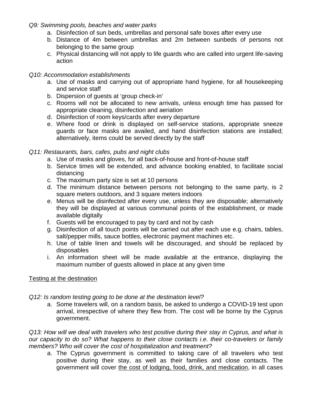- *Q9: Swimming pools, beaches and water parks*
	- a. Disinfection of sun beds, umbrellas and personal safe boxes after every use
	- b. Distance of 4m between umbrellas and 2m between sunbeds of persons not belonging to the same group
	- c. Physical distancing will not apply to life guards who are called into urgent life-saving action

## *Q10: Accommodation establishments*

- a. Use of masks and carrying out of appropriate hand hygiene, for all housekeeping and service staff
- b. Dispersion of guests at 'group check-in'
- c. Rooms will not be allocated to new arrivals, unless enough time has passed for appropriate cleaning, disinfection and aeriation
- d. Disinfection of room keys/cards after every departure
- e. Where food or drink is displayed on self-service stations, appropriate sneeze guards or face masks are availed, and hand disinfection stations are installed; alternatively, items could be served directly by the staff

## *Q11: Restaurants, bars, cafes, pubs and night clubs*

- a. Use of masks and gloves, for all back-of-house and front-of-house staff
- b. Service times will be extended, and advance booking enabled, to facilitate social distancing
- c. The maximum party size is set at 10 persons
- d. The minimum distance between persons not belonging to the same party, is 2 square meters outdoors, and 3 square meters indoors
- e. Menus will be disinfected after every use, unless they are disposable; alternatively they will be displayed at various communal points of the establishment, or made available digitally
- f. Guests will be encouraged to pay by card and not by cash
- g. Disinfection of all touch points will be carried out after each use e.g. chairs, tables, salt/pepper mills, sauce bottles, electronic payment machines etc.
- h. Use of table linen and towels will be discouraged, and should be replaced by disposables
- i. An information sheet will be made available at the entrance, displaying the maximum number of guests allowed in place at any given time

# Testing at the destination

# *Q12: Is random testing going to be done at the destination level?*

a. Some travelers will, on a random basis, be asked to undergo a COVID-19 test upon arrival, irrespective of where they flew from. The cost will be borne by the Cyprus government.

*Q13: How will we deal with travelers who test positive during their stay in Cyprus, and what is our capacity to do so? What happens to their close contacts i.e. their co-travelers or family members? Who will cover the cost of hospitalization and treatment?*

a. The Cyprus government is committed to taking care of all travelers who test positive during their stay, as well as their families and close contacts. The government will cover the cost of lodging, food, drink, and medication, in all cases